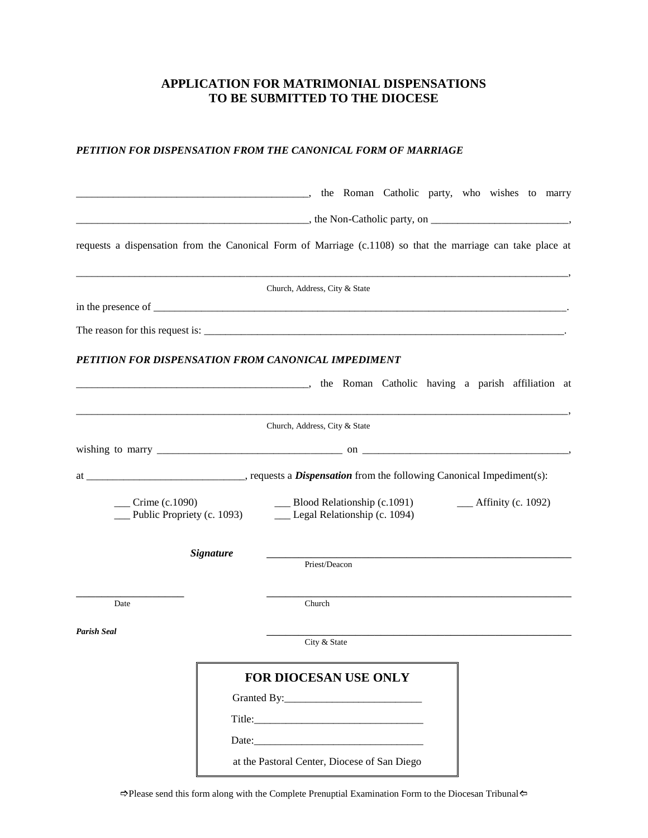## **APPLICATION FOR MATRIMONIAL DISPENSATIONS TO BE SUBMITTED TO THE DIOCESE**

## *PETITION FOR DISPENSATION FROM THE CANONICAL FORM OF MARRIAGE*

|                   |                            | the Roman Catholic party, who wishes to marry                                                                    |  |  |  |
|-------------------|----------------------------|------------------------------------------------------------------------------------------------------------------|--|--|--|
|                   |                            | $\frac{1}{2}$ , the Non-Catholic party, on $\frac{1}{2}$ ,                                                       |  |  |  |
|                   |                            | requests a dispensation from the Canonical Form of Marriage (c.1108) so that the marriage can take place at      |  |  |  |
|                   |                            | Church, Address, City & State                                                                                    |  |  |  |
|                   |                            |                                                                                                                  |  |  |  |
|                   |                            |                                                                                                                  |  |  |  |
|                   |                            | PETITION FOR DISPENSATION FROM CANONICAL IMPEDIMENT                                                              |  |  |  |
|                   |                            | the Roman Catholic having a parish affiliation at                                                                |  |  |  |
|                   |                            | Church, Address, City & State                                                                                    |  |  |  |
|                   |                            |                                                                                                                  |  |  |  |
|                   |                            |                                                                                                                  |  |  |  |
| $C$ rime (c.1090) | Public Propriety (c. 1093) | $\frac{1}{2}$ Blood Relationship (c.1091)<br>$\frac{1}{2}$ Affinity (c. 1092)<br>__ Legal Relationship (c. 1094) |  |  |  |
|                   | <b>Signature</b>           | Priest/Deacon                                                                                                    |  |  |  |
| Date              |                            | Church                                                                                                           |  |  |  |
| Parish Seal       |                            | City & State                                                                                                     |  |  |  |
|                   |                            | <b>FOR DIOCESAN USE ONLY</b>                                                                                     |  |  |  |
|                   |                            |                                                                                                                  |  |  |  |
|                   |                            |                                                                                                                  |  |  |  |
|                   |                            |                                                                                                                  |  |  |  |
|                   |                            | at the Pastoral Center, Diocese of San Diego                                                                     |  |  |  |

 $\Rightarrow$  Please send this form along with the Complete Prenuptial Examination Form to the Diocesan Tribunal  $\Leftarrow$